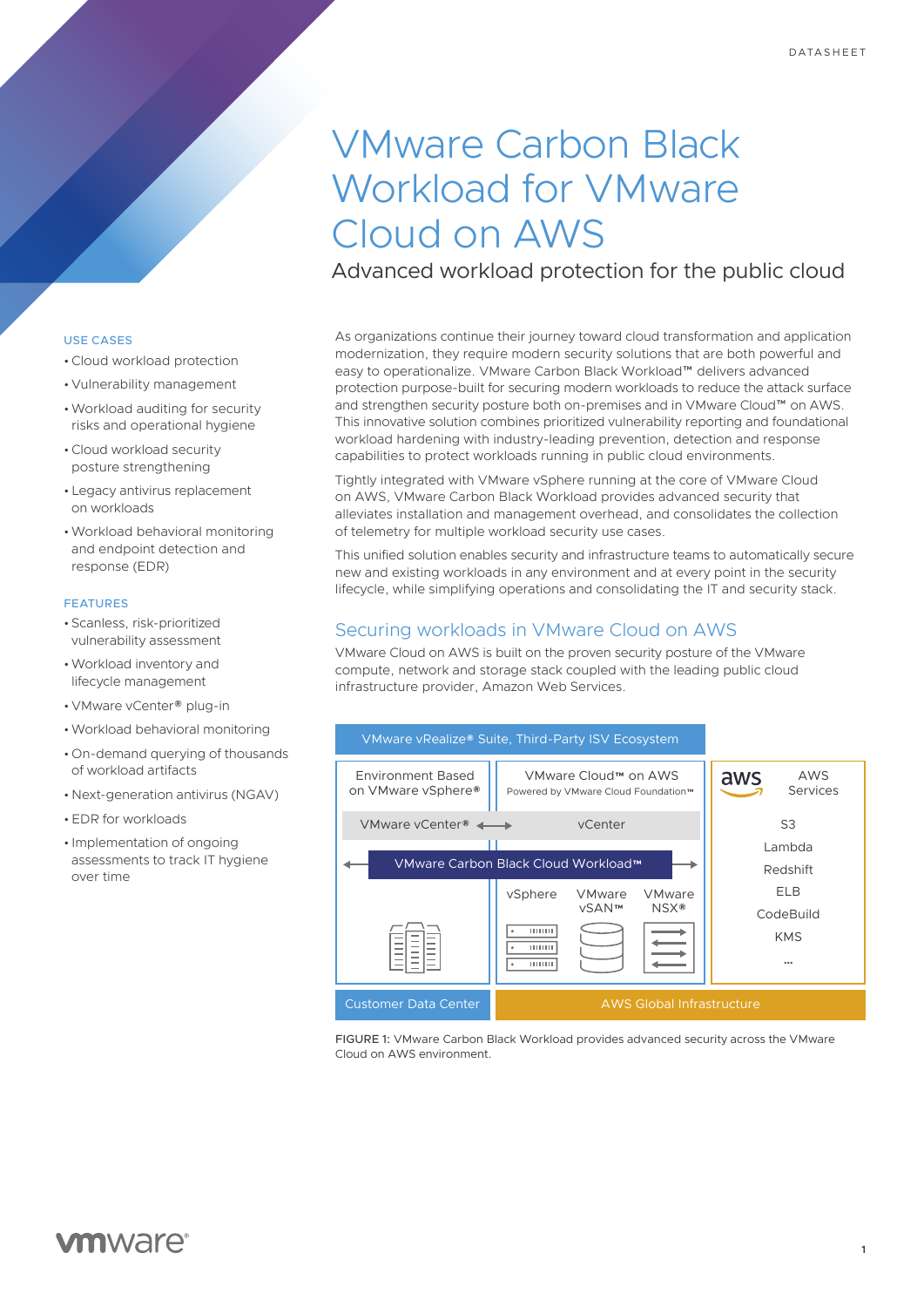# VMware Carbon Black Workload for VMware Cloud on AWS

Advanced workload protection for the public cloud

As organizations continue their journey toward cloud transformation and application modernization, they require modern security solutions that are both powerful and easy to operationalize. VMware Carbon Black Workload™ delivers advanced protection purpose-built for securing modern workloads to reduce the attack surface and strengthen security posture both on-premises and in VMware Cloud™ on AWS. This innovative solution combines prioritized vulnerability reporting and foundational workload hardening with industry-leading prevention, detection and response capabilities to protect workloads running in public cloud environments.

Tightly integrated with VMware vSphere running at the core of VMware Cloud on AWS, VMware Carbon Black Workload provides advanced security that alleviates installation and management overhead, and consolidates the collection of telemetry for multiple workload security use cases.

This unified solution enables security and infrastructure teams to automatically secure new and existing workloads in any environment and at every point in the security lifecycle, while simplifying operations and consolidating the IT and security stack.

# Securing workloads in VMware Cloud on AWS

VMware Cloud on AWS is built on the proven security posture of the VMware compute, network and storage stack coupled with the leading public cloud infrastructure provider, Amazon Web Services.



FIGURE 1: VMware Carbon Black Workload provides advanced security across the VMware Cloud on AWS environment.

### USE CASES

- •Cloud workload protection
- Vulnerability management
- •Workload auditing for security risks and operational hygiene
- •Cloud workload security posture strengthening
- Legacy antivirus replacement on workloads
- •Workload behavioral monitoring and endpoint detection and response (EDR)

### FEATURES

- Scanless, risk-prioritized vulnerability assessment
- •Workload inventory and lifecycle management
- VMware vCenter® plug-in
- •Workload behavioral monitoring
- On-demand querying of thousands of workload artifacts
- Next-generation antivirus (NGAV)
- EDR for workloads
- Implementation of ongoing assessments to track IT hygiene over time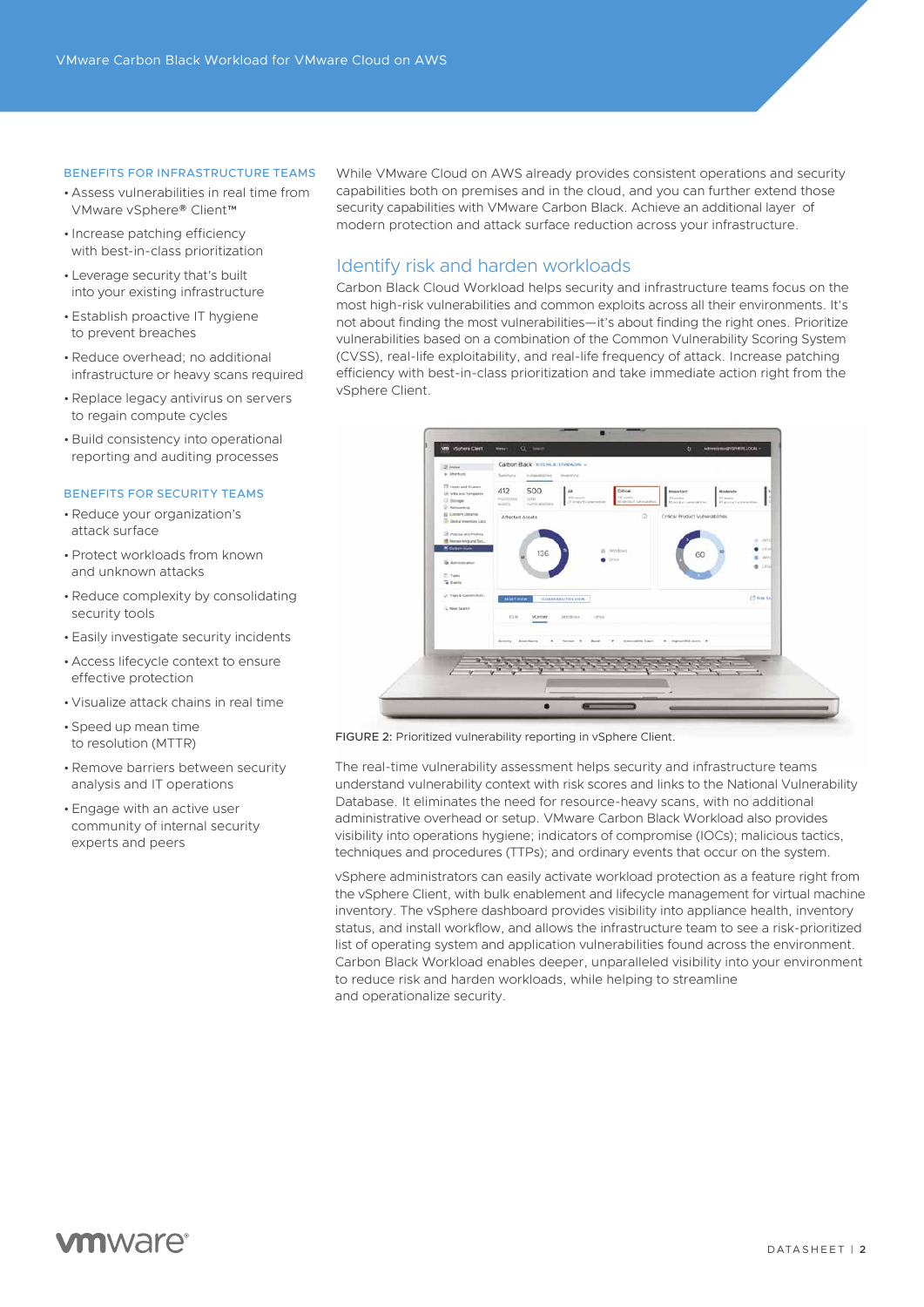### BENEFITS FOR INFRASTRUCTURE TEAMS

- Assess vulnerabilities in real time from VMware vSphere® Client™
- Increase patching efficiency with best-in-class prioritization
- Leverage security that's built into your existing infrastructure
- Establish proactive IT hygiene to prevent breaches
- •Reduce overhead; no additional infrastructure or heavy scans required
- •Replace legacy antivirus on servers to regain compute cycles
- Build consistency into operational reporting and auditing processes

### BENEFITS FOR SECURITY TEAMS

- •Reduce your organization's attack surface
- •Protect workloads from known and unknown attacks
- •Reduce complexity by consolidating security tools
- Easily investigate security incidents
- Access lifecycle context to ensure effective protection
- Visualize attack chains in real time
- Speed up mean time to resolution (MTTR)
- •Remove barriers between security analysis and IT operations
- Engage with an active user community of internal security experts and peers

While VMware Cloud on AWS already provides consistent operations and security capabilities both on premises and in the cloud, and you can further extend those security capabilities with VMware Carbon Black. Achieve an additional layer of modern protection and attack surface reduction across your infrastructure.

## Identify risk and harden workloads

Carbon Black Cloud Workload helps security and infrastructure teams focus on the most high-risk vulnerabilities and common exploits across all their environments. It's not about finding the most vulnerabilities—it's about finding the right ones. Prioritize vulnerabilities based on a combination of the Common Vulnerability Scoring System (CVSS), real-life exploitability, and real-life frequency of attack. Increase patching efficiency with best-in-class prioritization and take immediate action right from the vSphere Client.



FIGURE 2: Prioritized vulnerability reporting in vSphere Client.

The real-time vulnerability assessment helps security and infrastructure teams understand vulnerability context with risk scores and links to the National Vulnerability Database. It eliminates the need for resource-heavy scans, with no additional administrative overhead or setup. VMware Carbon Black Workload also provides visibility into operations hygiene; indicators of compromise (IOCs); malicious tactics, techniques and procedures (TTPs); and ordinary events that occur on the system.

vSphere administrators can easily activate workload protection as a feature right from the vSphere Client, with bulk enablement and lifecycle management for virtual machine inventory. The vSphere dashboard provides visibility into appliance health, inventory status, and install workflow, and allows the infrastructure team to see a risk-prioritized list of operating system and application vulnerabilities found across the environment. Carbon Black Workload enables deeper, unparalleled visibility into your environment to reduce risk and harden workloads, while helping to streamline and operationalize security.

# **vm**ware<sup>®</sup>